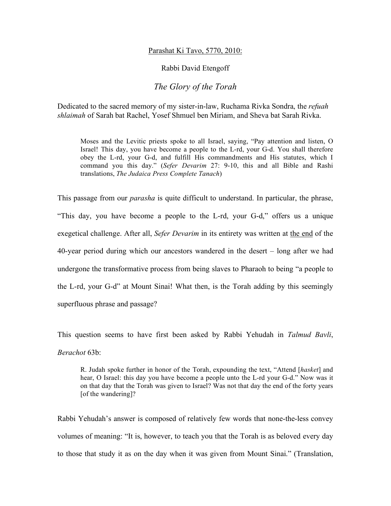## Parashat Ki Tavo, 5770, 2010:

## Rabbi David Etengoff

## *The Glory of the Torah*

Dedicated to the sacred memory of my sister-in-law, Ruchama Rivka Sondra, the *refuah shlaimah* of Sarah bat Rachel, Yosef Shmuel ben Miriam, and Sheva bat Sarah Rivka.

Moses and the Levitic priests spoke to all Israel, saying, "Pay attention and listen, O Israel! This day, you have become a people to the L-rd, your G-d. You shall therefore obey the L-rd, your G-d, and fulfill His commandments and His statutes, which I command you this day." (*Sefer Devarim* 27: 9-10, this and all Bible and Rashi translations, *The Judaica Press Complete Tanach*)

This passage from our *parasha* is quite difficult to understand. In particular, the phrase, "This day, you have become a people to the L-rd, your G-d," offers us a unique exegetical challenge. After all, *Sefer Devarim* in its entirety was written at the end of the 40-year period during which our ancestors wandered in the desert – long after we had undergone the transformative process from being slaves to Pharaoh to being "a people to the L-rd, your G-d" at Mount Sinai! What then, is the Torah adding by this seemingly superfluous phrase and passage?

This question seems to have first been asked by Rabbi Yehudah in *Talmud Bavli*, *Berachot* 63b:

R. Judah spoke further in honor of the Torah, expounding the text, "Attend [*hasket*] and hear, O Israel: this day you have become a people unto the L-rd your G-d." Now was it on that day that the Torah was given to Israel? Was not that day the end of the forty years [of the wandering]?

Rabbi Yehudah's answer is composed of relatively few words that none-the-less convey volumes of meaning: "It is, however, to teach you that the Torah is as beloved every day to those that study it as on the day when it was given from Mount Sinai." (Translation,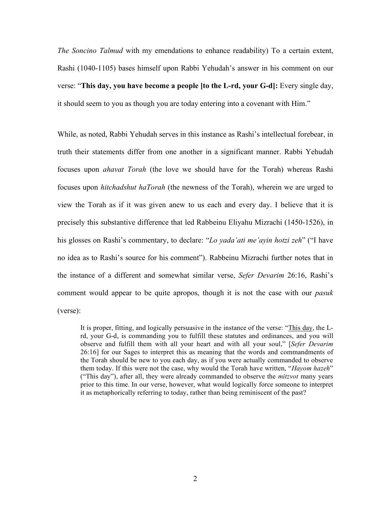*The Soncino Talmud* with my emendations to enhance readability) To a certain extent, Rashi (1040-1105) bases himself upon Rabbi Yehudah's answer in his comment on our verse: "**This day, you have become a people [to the L-rd, your G-d]:** Every single day, it should seem to you as though you are today entering into a covenant with Him."

While, as noted, Rabbi Yehudah serves in this instance as Rashi's intellectual forebear, in truth their statements differ from one another in a significant manner. Rabbi Yehudah focuses upon *ahavat Torah* (the love we should have for the Torah) whereas Rashi focuses upon *hitchadshut haTorah* (the newness of the Torah), wherein we are urged to view the Torah as if it was given anew to us each and every day. I believe that it is precisely this substantive difference that led Rabbeinu Eliyahu Mizrachi (1450-1526), in his glosses on Rashi's commentary, to declare: "*Lo yada'ati me'ayin hotzi zeh*" ("I have no idea as to Rashi's source for his comment"). Rabbeinu Mizrachi further notes that in the instance of a different and somewhat similar verse, *Sefer Devarim* 26:16, Rashi's comment would appear to be quite apropos, though it is not the case with our *pasuk*  (verse):

It is proper, fitting, and logically persuasive in the instance of the verse: "This day, the Lrd, your G-d, is commanding you to fulfill these statutes and ordinances, and you will observe and fulfill them with all your heart and with all your soul," [*Sefer Devarim*  26:16] for our Sages to interpret this as meaning that the words and commandments of the Torah should be new to you each day, as if you were actually commanded to observe them today. If this were not the case, why would the Torah have written, "*Hayom hazeh*" ("This day"), after all, they were already commanded to observe the *mitzvot* many years prior to this time. In our verse, however, what would logically force someone to interpret it as metaphorically referring to today, rather than being reminiscent of the past?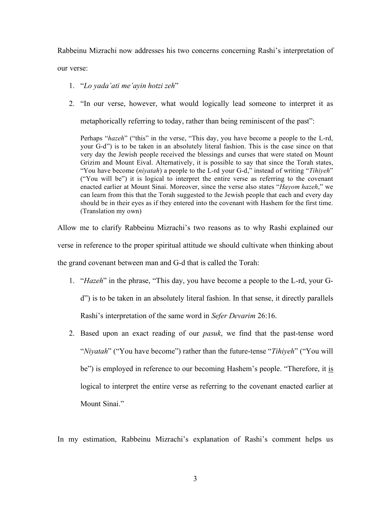Rabbeinu Mizrachi now addresses his two concerns concerning Rashi's interpretation of

our verse:

- 1. "*Lo yada'ati me'ayin hotzi zeh*"
- 2. "In our verse, however, what would logically lead someone to interpret it as

metaphorically referring to today, rather than being reminiscent of the past":

Perhaps "hazeh" ("this" in the verse, "This day, you have become a people to the L-rd, your G-d") is to be taken in an absolutely literal fashion. This is the case since on that very day the Jewish people received the blessings and curses that were stated on Mount Grizim and Mount Eival. Alternatively, it is possible to say that since the Torah states, "You have become (*niyatah*) a people to the L-rd your G-d," instead of writing "*Tihiyeh*" ("You will be") it is logical to interpret the entire verse as referring to the covenant enacted earlier at Mount Sinai. Moreover, since the verse also states "*Hayom hazeh*," we can learn from this that the Torah suggested to the Jewish people that each and every day should be in their eyes as if they entered into the covenant with Hashem for the first time. (Translation my own)

Allow me to clarify Rabbeinu Mizrachi's two reasons as to why Rashi explained our verse in reference to the proper spiritual attitude we should cultivate when thinking about the grand covenant between man and G-d that is called the Torah:

- 1. "*Hazeh*" in the phrase, "This day, you have become a people to the L-rd, your Gd") is to be taken in an absolutely literal fashion. In that sense, it directly parallels Rashi's interpretation of the same word in *Sefer Devarim* 26:16.
- 2. Based upon an exact reading of our *pasuk*, we find that the past-tense word "*Niyatah*" ("You have become") rather than the future-tense "*Tihiyeh*" ("You will be") is employed in reference to our becoming Hashem's people. "Therefore, it is logical to interpret the entire verse as referring to the covenant enacted earlier at Mount Sinai<sup>"</sup>

In my estimation, Rabbeinu Mizrachi's explanation of Rashi's comment helps us